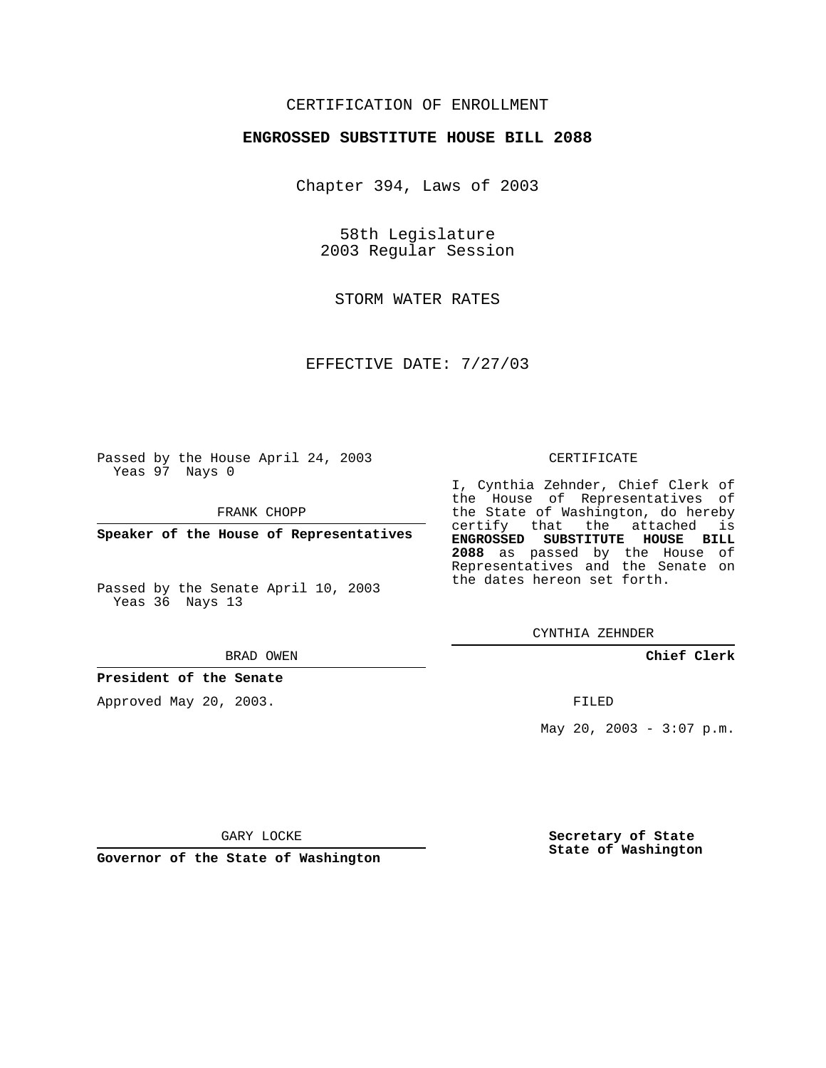### CERTIFICATION OF ENROLLMENT

### **ENGROSSED SUBSTITUTE HOUSE BILL 2088**

Chapter 394, Laws of 2003

58th Legislature 2003 Regular Session

STORM WATER RATES

EFFECTIVE DATE: 7/27/03

Passed by the House April 24, 2003 Yeas 97 Nays 0

FRANK CHOPP

**Speaker of the House of Representatives**

Passed by the Senate April 10, 2003 Yeas 36 Nays 13

#### BRAD OWEN

**President of the Senate**

Approved May 20, 2003.

### CERTIFICATE

I, Cynthia Zehnder, Chief Clerk of the House of Representatives of the State of Washington, do hereby certify that the attached is **ENGROSSED SUBSTITUTE HOUSE BILL 2088** as passed by the House of Representatives and the Senate on the dates hereon set forth.

CYNTHIA ZEHNDER

**Chief Clerk**

FILED

May 20, 2003 -  $3:07$  p.m.

GARY LOCKE

**Governor of the State of Washington**

**Secretary of State State of Washington**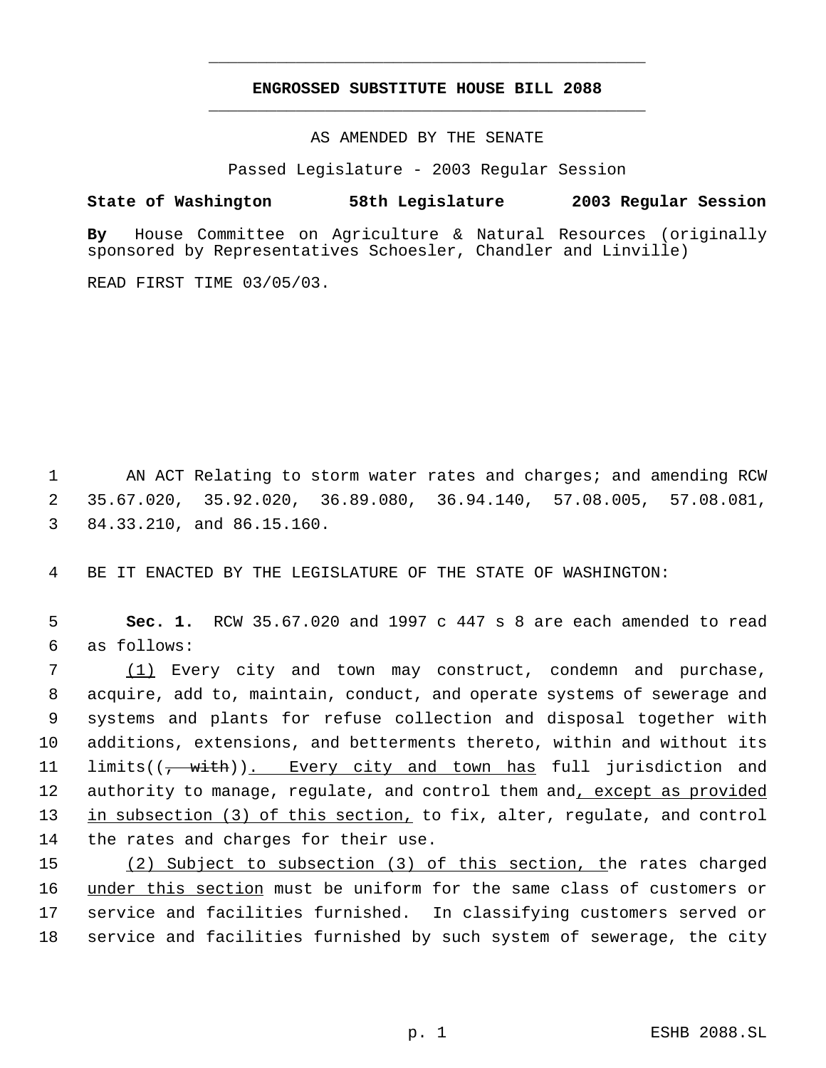# **ENGROSSED SUBSTITUTE HOUSE BILL 2088** \_\_\_\_\_\_\_\_\_\_\_\_\_\_\_\_\_\_\_\_\_\_\_\_\_\_\_\_\_\_\_\_\_\_\_\_\_\_\_\_\_\_\_\_\_

\_\_\_\_\_\_\_\_\_\_\_\_\_\_\_\_\_\_\_\_\_\_\_\_\_\_\_\_\_\_\_\_\_\_\_\_\_\_\_\_\_\_\_\_\_

AS AMENDED BY THE SENATE

Passed Legislature - 2003 Regular Session

## **State of Washington 58th Legislature 2003 Regular Session**

**By** House Committee on Agriculture & Natural Resources (originally sponsored by Representatives Schoesler, Chandler and Linville)

READ FIRST TIME 03/05/03.

 1 AN ACT Relating to storm water rates and charges; and amending RCW 2 35.67.020, 35.92.020, 36.89.080, 36.94.140, 57.08.005, 57.08.081, 3 84.33.210, and 86.15.160.

4 BE IT ENACTED BY THE LEGISLATURE OF THE STATE OF WASHINGTON:

 5 **Sec. 1.** RCW 35.67.020 and 1997 c 447 s 8 are each amended to read 6 as follows:

 (1) Every city and town may construct, condemn and purchase, acquire, add to, maintain, conduct, and operate systems of sewerage and systems and plants for refuse collection and disposal together with additions, extensions, and betterments thereto, within and without its 11 limits((<del>, with</del>)). Every city and town has full jurisdiction and 12 authority to manage, regulate, and control them and, except as provided 13 in subsection (3) of this section, to fix, alter, regulate, and control the rates and charges for their use.

15 (2) Subject to subsection (3) of this section, the rates charged under this section must be uniform for the same class of customers or service and facilities furnished. In classifying customers served or service and facilities furnished by such system of sewerage, the city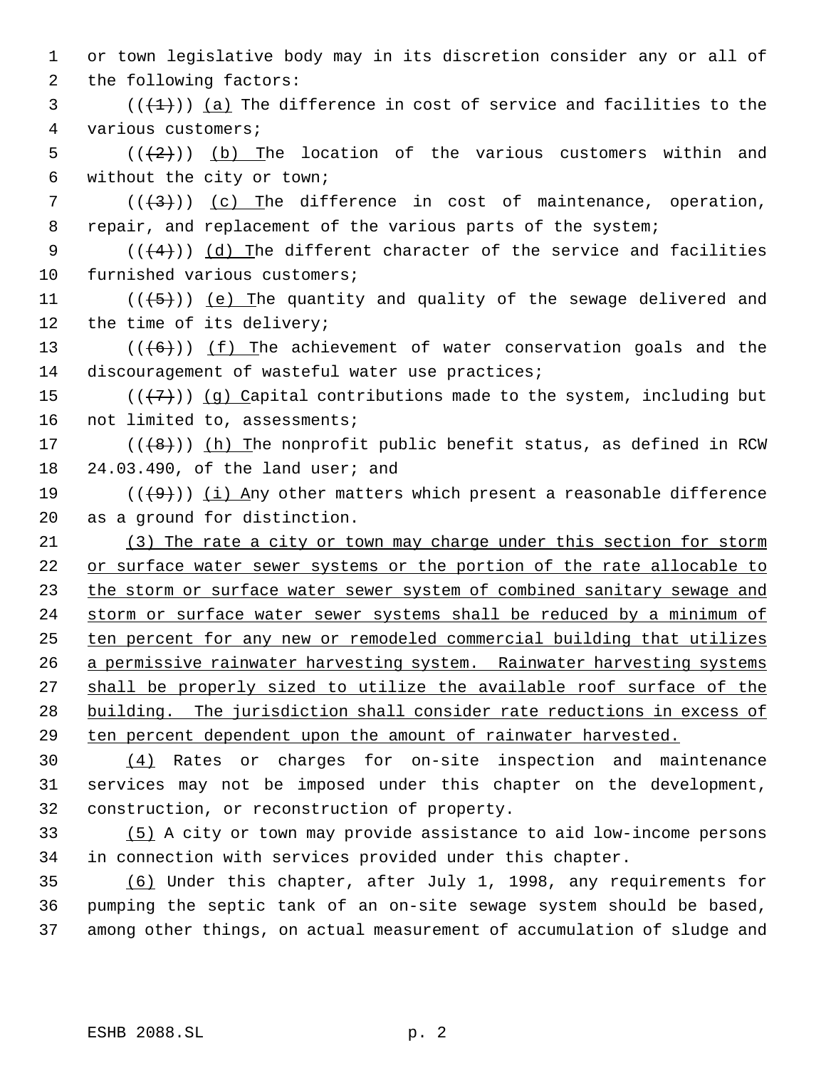or town legislative body may in its discretion consider any or all of the following factors:

 (( $(\frac{1}{2})$ ) (a) The difference in cost of service and facilities to the various customers;

5  $((+2))$  (b) The location of the various customers within and without the city or town;

7  $((+3))$   $(c)$  The difference in cost of maintenance, operation, 8 repair, and replacement of the various parts of the system;

9 ( $(\frac{4}{4})$ ) (d) The different character of the service and facilities furnished various customers;

11  $((+5))$  (e) The quantity and quality of the sewage delivered and the time of its delivery;

13  $((+6))$  ( $f$ ) The achievement of water conservation goals and the 14 discouragement of wasteful water use practices;

15  $((+7))$  (q) Capital contributions made to the system, including but not limited to, assessments;

17  $((+8))$  (h) The nonprofit public benefit status, as defined in RCW 24.03.490, of the land user; and

19  $((+9)^i)$  (i) Any other matters which present a reasonable difference as a ground for distinction.

 (3) The rate a city or town may charge under this section for storm or surface water sewer systems or the portion of the rate allocable to 23 the storm or surface water sewer system of combined sanitary sewage and 24 storm or surface water sewer systems shall be reduced by a minimum of ten percent for any new or remodeled commercial building that utilizes 26 a permissive rainwater harvesting system. Rainwater harvesting systems shall be properly sized to utilize the available roof surface of the building. The jurisdiction shall consider rate reductions in excess of ten percent dependent upon the amount of rainwater harvested.

 (4) Rates or charges for on-site inspection and maintenance services may not be imposed under this chapter on the development, construction, or reconstruction of property.

 (5) A city or town may provide assistance to aid low-income persons in connection with services provided under this chapter.

 (6) Under this chapter, after July 1, 1998, any requirements for pumping the septic tank of an on-site sewage system should be based, among other things, on actual measurement of accumulation of sludge and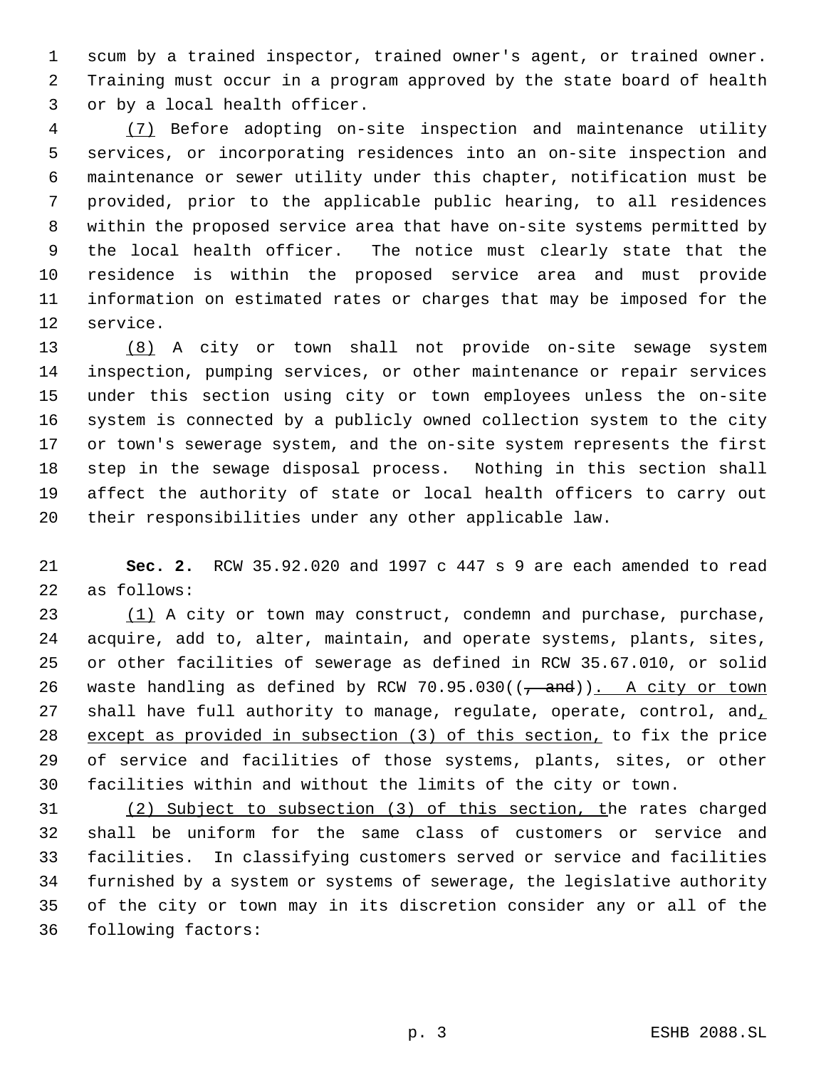scum by a trained inspector, trained owner's agent, or trained owner. Training must occur in a program approved by the state board of health or by a local health officer.

 (7) Before adopting on-site inspection and maintenance utility services, or incorporating residences into an on-site inspection and maintenance or sewer utility under this chapter, notification must be provided, prior to the applicable public hearing, to all residences within the proposed service area that have on-site systems permitted by the local health officer. The notice must clearly state that the residence is within the proposed service area and must provide information on estimated rates or charges that may be imposed for the service.

 (8) A city or town shall not provide on-site sewage system inspection, pumping services, or other maintenance or repair services under this section using city or town employees unless the on-site system is connected by a publicly owned collection system to the city or town's sewerage system, and the on-site system represents the first step in the sewage disposal process. Nothing in this section shall affect the authority of state or local health officers to carry out their responsibilities under any other applicable law.

 **Sec. 2.** RCW 35.92.020 and 1997 c 447 s 9 are each amended to read as follows:

23 (1) A city or town may construct, condemn and purchase, purchase, acquire, add to, alter, maintain, and operate systems, plants, sites, or other facilities of sewerage as defined in RCW 35.67.010, or solid 26 waste handling as defined by RCW 70.95.030( $(\frac{\pi}{1})$ . A city or town 27 shall have full authority to manage, regulate, operate, control, and, except as provided in subsection (3) of this section, to fix the price of service and facilities of those systems, plants, sites, or other facilities within and without the limits of the city or town.

 (2) Subject to subsection (3) of this section, the rates charged shall be uniform for the same class of customers or service and facilities. In classifying customers served or service and facilities furnished by a system or systems of sewerage, the legislative authority of the city or town may in its discretion consider any or all of the following factors: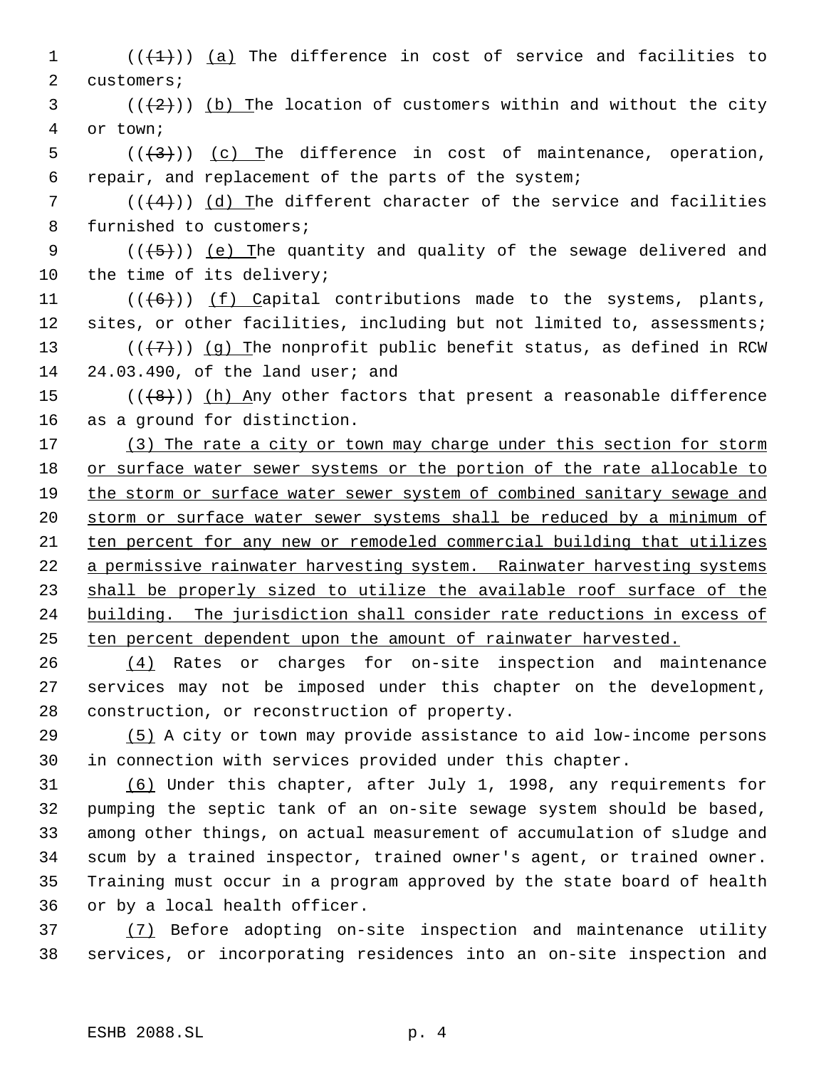1  $((+1))$   $(a)$  The difference in cost of service and facilities to 2 customers;

 (( $(2)$ )) (b) The location of customers within and without the city or town;

5  $((+3))$   $(c)$  The difference in cost of maintenance, operation, repair, and replacement of the parts of the system;

 $((4+))$  (d) The different character of the service and facilities furnished to customers;

 $((+5))$  (e) The quantity and quality of the sewage delivered and the time of its delivery;

11  $((+6))$   $(f)$  Capital contributions made to the systems, plants, 12 sites, or other facilities, including but not limited to, assessments; 13 ( $(\langle 7\rangle)$ ) (g) The nonprofit public benefit status, as defined in RCW 24.03.490, of the land user; and

15  $((+8))$  (h) Any other factors that present a reasonable difference as a ground for distinction.

17 (3) The rate a city or town may charge under this section for storm or surface water sewer systems or the portion of the rate allocable to 19 the storm or surface water sewer system of combined sanitary sewage and 20 storm or surface water sewer systems shall be reduced by a minimum of ten percent for any new or remodeled commercial building that utilizes 22 a permissive rainwater harvesting system. Rainwater harvesting systems shall be properly sized to utilize the available roof surface of the building. The jurisdiction shall consider rate reductions in excess of ten percent dependent upon the amount of rainwater harvested.

 (4) Rates or charges for on-site inspection and maintenance services may not be imposed under this chapter on the development, construction, or reconstruction of property.

 (5) A city or town may provide assistance to aid low-income persons in connection with services provided under this chapter.

 (6) Under this chapter, after July 1, 1998, any requirements for pumping the septic tank of an on-site sewage system should be based, among other things, on actual measurement of accumulation of sludge and scum by a trained inspector, trained owner's agent, or trained owner. Training must occur in a program approved by the state board of health or by a local health officer.

 (7) Before adopting on-site inspection and maintenance utility services, or incorporating residences into an on-site inspection and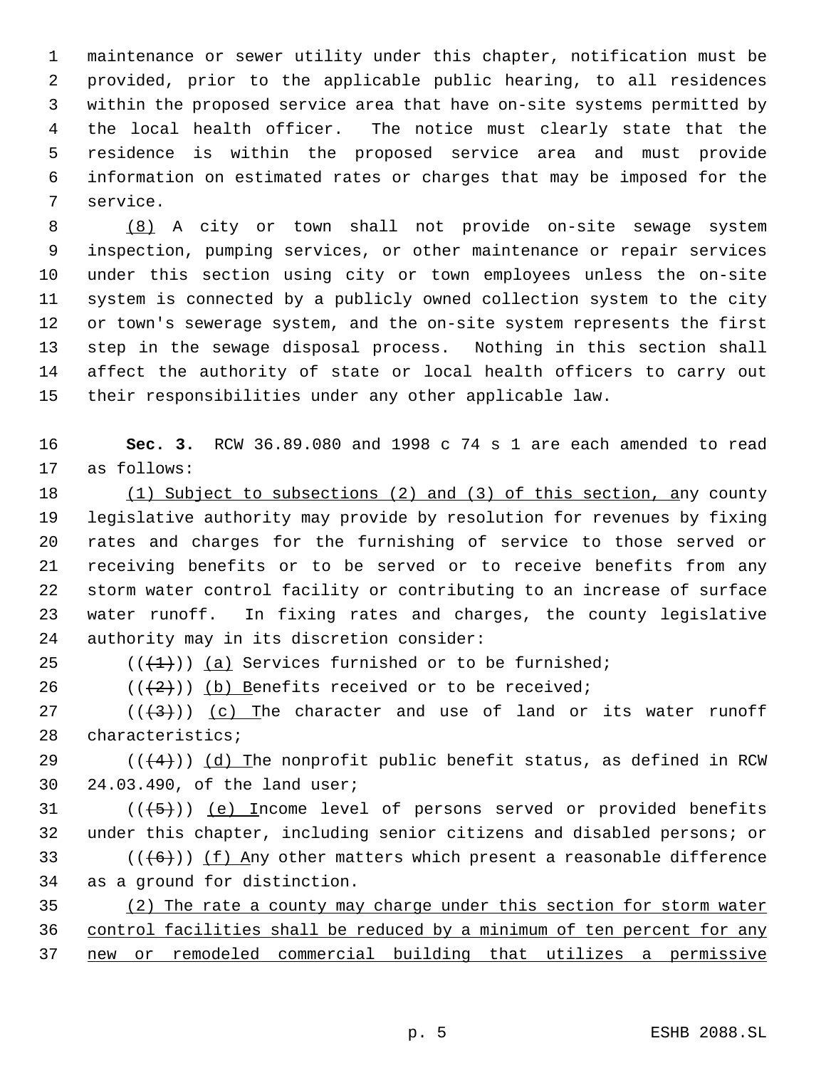maintenance or sewer utility under this chapter, notification must be provided, prior to the applicable public hearing, to all residences within the proposed service area that have on-site systems permitted by the local health officer. The notice must clearly state that the residence is within the proposed service area and must provide information on estimated rates or charges that may be imposed for the service.

 (8) A city or town shall not provide on-site sewage system inspection, pumping services, or other maintenance or repair services under this section using city or town employees unless the on-site system is connected by a publicly owned collection system to the city or town's sewerage system, and the on-site system represents the first step in the sewage disposal process. Nothing in this section shall affect the authority of state or local health officers to carry out their responsibilities under any other applicable law.

 **Sec. 3.** RCW 36.89.080 and 1998 c 74 s 1 are each amended to read as follows:

 (1) Subject to subsections (2) and (3) of this section, any county legislative authority may provide by resolution for revenues by fixing rates and charges for the furnishing of service to those served or receiving benefits or to be served or to receive benefits from any storm water control facility or contributing to an increase of surface water runoff. In fixing rates and charges, the county legislative authority may in its discretion consider:

25  $((+1))$  (a) Services furnished or to be furnished;

26  $((+2)^{n})$  (b) Benefits received or to be received;

27  $((+3))$   $(c)$  The character and use of land or its water runoff characteristics;

29 ( $($  $($  $($  $+$  $4$  $)$ )  $(d)$  The nonprofit public benefit status, as defined in RCW 24.03.490, of the land user;

 (( $\left(\frac{5}{7}\right)$ ) (e) Income level of persons served or provided benefits under this chapter, including senior citizens and disabled persons; or 33 ( $(\langle 6 \rangle)$ ) (f) Any other matters which present a reasonable difference as a ground for distinction.

 (2) The rate a county may charge under this section for storm water control facilities shall be reduced by a minimum of ten percent for any new or remodeled commercial building that utilizes a permissive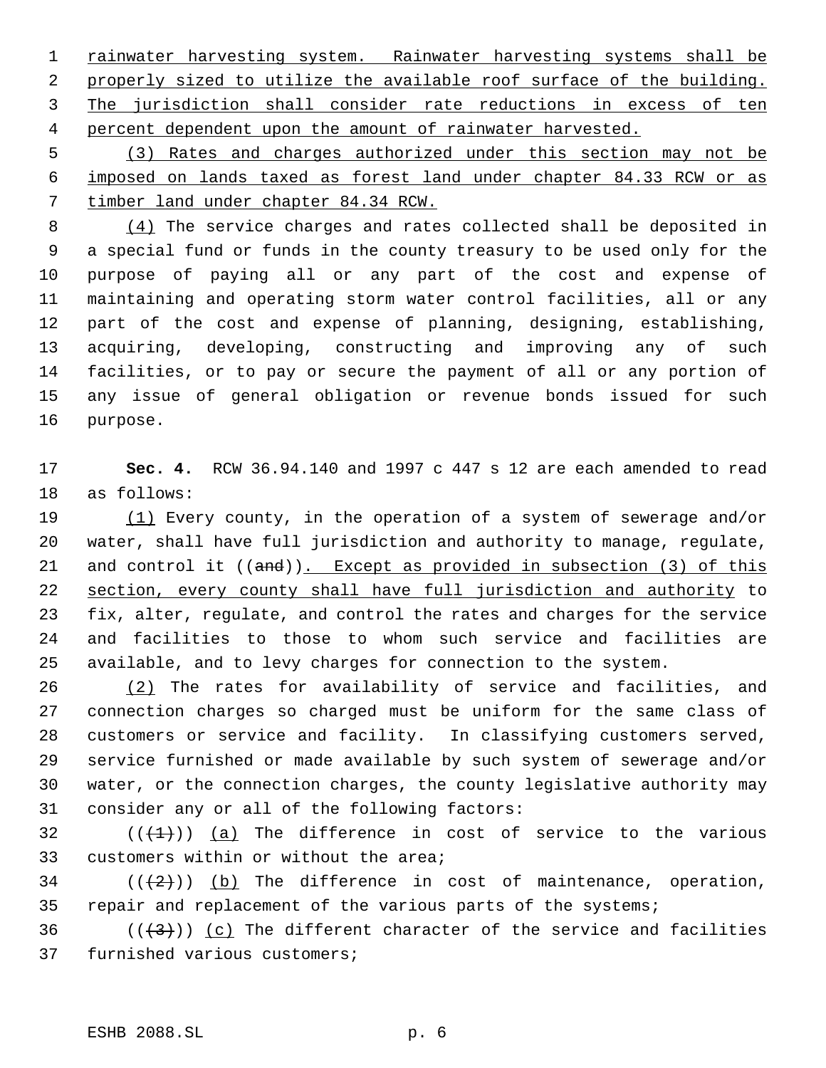1 rainwater harvesting system. Rainwater harvesting systems shall be properly sized to utilize the available roof surface of the building. 3 The jurisdiction shall consider rate reductions in excess of ten 4 percent dependent upon the amount of rainwater harvested.

 (3) Rates and charges authorized under this section may not be imposed on lands taxed as forest land under chapter 84.33 RCW or as timber land under chapter 84.34 RCW.

8 (4) The service charges and rates collected shall be deposited in a special fund or funds in the county treasury to be used only for the purpose of paying all or any part of the cost and expense of maintaining and operating storm water control facilities, all or any part of the cost and expense of planning, designing, establishing, acquiring, developing, constructing and improving any of such facilities, or to pay or secure the payment of all or any portion of any issue of general obligation or revenue bonds issued for such purpose.

 **Sec. 4.** RCW 36.94.140 and 1997 c 447 s 12 are each amended to read as follows:

19 (1) Every county, in the operation of a system of sewerage and/or water, shall have full jurisdiction and authority to manage, regulate, 21 and control it ((and)). Except as provided in subsection (3) of this section, every county shall have full jurisdiction and authority to fix, alter, regulate, and control the rates and charges for the service and facilities to those to whom such service and facilities are available, and to levy charges for connection to the system.

 (2) The rates for availability of service and facilities, and connection charges so charged must be uniform for the same class of customers or service and facility. In classifying customers served, service furnished or made available by such system of sewerage and/or water, or the connection charges, the county legislative authority may consider any or all of the following factors:

32  $((+1))$  (a) The difference in cost of service to the various customers within or without the area;

34  $((+2))$  (b) The difference in cost of maintenance, operation, repair and replacement of the various parts of the systems;

36  $((+3))$  (c) The different character of the service and facilities furnished various customers;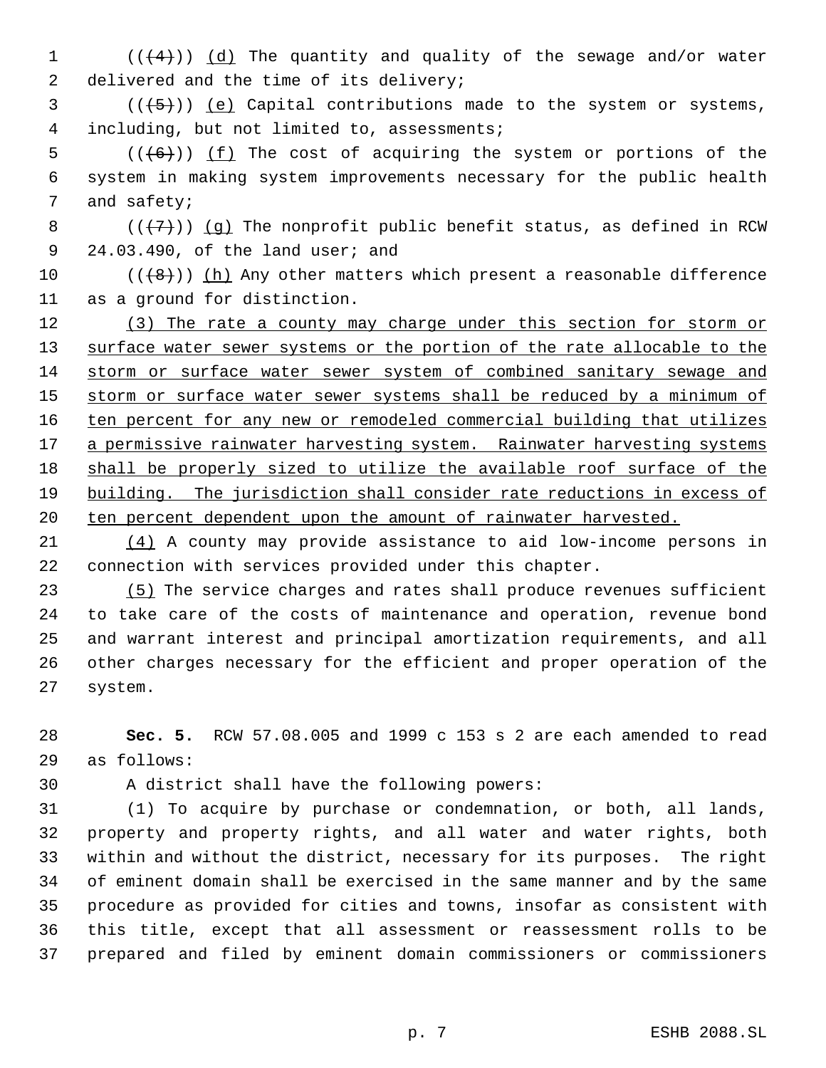1  $((+4))$   $(d)$  The quantity and quality of the sewage and/or water 2 delivered and the time of its delivery;

 $(1+5)$ ) (e) Capital contributions made to the system or systems, including, but not limited to, assessments;

 $((+6))$  (f) The cost of acquiring the system or portions of the system in making system improvements necessary for the public health and safety;

8 ( $(\overline{7})$ ) (g) The nonprofit public benefit status, as defined in RCW 24.03.490, of the land user; and

 $((\{8\})$  (h) Any other matters which present a reasonable difference as a ground for distinction.

12 (3) The rate a county may charge under this section for storm or 13 surface water sewer systems or the portion of the rate allocable to the storm or surface water sewer system of combined sanitary sewage and 15 storm or surface water sewer systems shall be reduced by a minimum of 16 ten percent for any new or remodeled commercial building that utilizes 17 a permissive rainwater harvesting system. Rainwater harvesting systems shall be properly sized to utilize the available roof surface of the building. The jurisdiction shall consider rate reductions in excess of 20 ten percent dependent upon the amount of rainwater harvested.

 (4) A county may provide assistance to aid low-income persons in connection with services provided under this chapter.

 (5) The service charges and rates shall produce revenues sufficient to take care of the costs of maintenance and operation, revenue bond and warrant interest and principal amortization requirements, and all other charges necessary for the efficient and proper operation of the system.

 **Sec. 5.** RCW 57.08.005 and 1999 c 153 s 2 are each amended to read as follows:

A district shall have the following powers:

 (1) To acquire by purchase or condemnation, or both, all lands, property and property rights, and all water and water rights, both within and without the district, necessary for its purposes. The right of eminent domain shall be exercised in the same manner and by the same procedure as provided for cities and towns, insofar as consistent with this title, except that all assessment or reassessment rolls to be prepared and filed by eminent domain commissioners or commissioners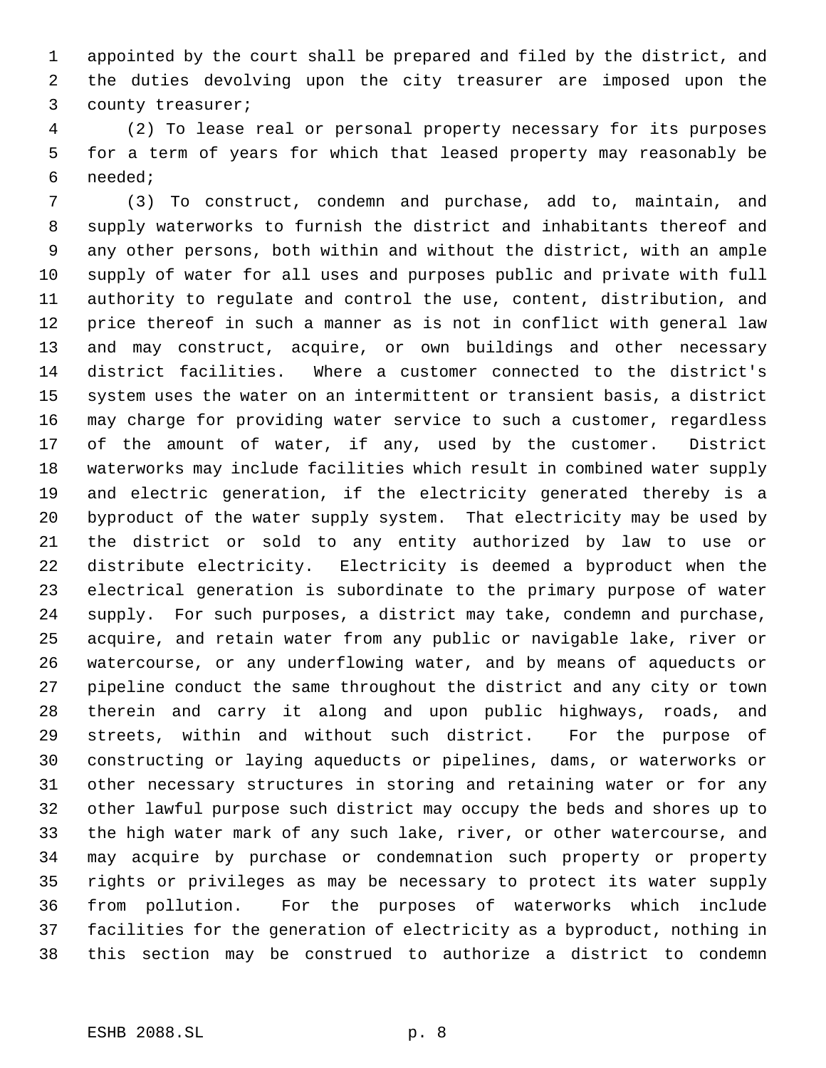appointed by the court shall be prepared and filed by the district, and the duties devolving upon the city treasurer are imposed upon the county treasurer;

 (2) To lease real or personal property necessary for its purposes for a term of years for which that leased property may reasonably be needed;

 (3) To construct, condemn and purchase, add to, maintain, and supply waterworks to furnish the district and inhabitants thereof and any other persons, both within and without the district, with an ample supply of water for all uses and purposes public and private with full authority to regulate and control the use, content, distribution, and price thereof in such a manner as is not in conflict with general law and may construct, acquire, or own buildings and other necessary district facilities. Where a customer connected to the district's system uses the water on an intermittent or transient basis, a district may charge for providing water service to such a customer, regardless of the amount of water, if any, used by the customer. District waterworks may include facilities which result in combined water supply and electric generation, if the electricity generated thereby is a byproduct of the water supply system. That electricity may be used by the district or sold to any entity authorized by law to use or distribute electricity. Electricity is deemed a byproduct when the electrical generation is subordinate to the primary purpose of water supply. For such purposes, a district may take, condemn and purchase, acquire, and retain water from any public or navigable lake, river or watercourse, or any underflowing water, and by means of aqueducts or pipeline conduct the same throughout the district and any city or town therein and carry it along and upon public highways, roads, and streets, within and without such district. For the purpose of constructing or laying aqueducts or pipelines, dams, or waterworks or other necessary structures in storing and retaining water or for any other lawful purpose such district may occupy the beds and shores up to the high water mark of any such lake, river, or other watercourse, and may acquire by purchase or condemnation such property or property rights or privileges as may be necessary to protect its water supply from pollution. For the purposes of waterworks which include facilities for the generation of electricity as a byproduct, nothing in this section may be construed to authorize a district to condemn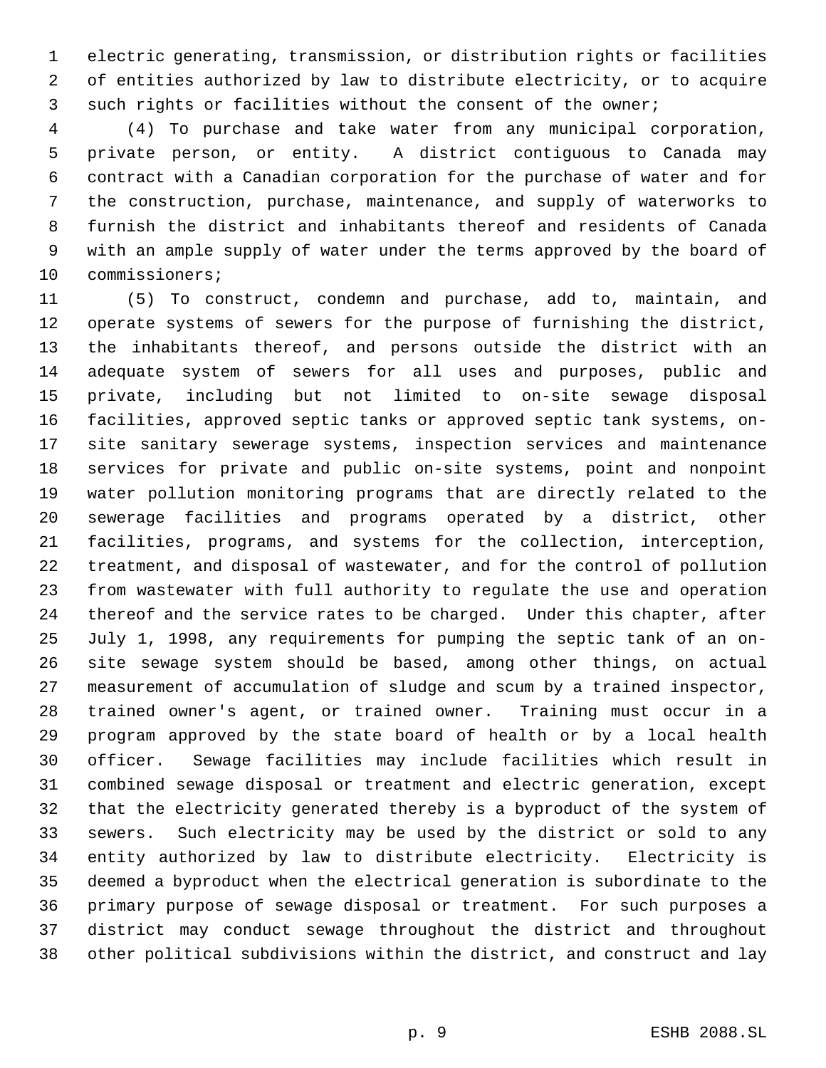electric generating, transmission, or distribution rights or facilities of entities authorized by law to distribute electricity, or to acquire such rights or facilities without the consent of the owner;

 (4) To purchase and take water from any municipal corporation, private person, or entity. A district contiguous to Canada may contract with a Canadian corporation for the purchase of water and for the construction, purchase, maintenance, and supply of waterworks to furnish the district and inhabitants thereof and residents of Canada with an ample supply of water under the terms approved by the board of commissioners;

 (5) To construct, condemn and purchase, add to, maintain, and operate systems of sewers for the purpose of furnishing the district, the inhabitants thereof, and persons outside the district with an adequate system of sewers for all uses and purposes, public and private, including but not limited to on-site sewage disposal facilities, approved septic tanks or approved septic tank systems, on- site sanitary sewerage systems, inspection services and maintenance services for private and public on-site systems, point and nonpoint water pollution monitoring programs that are directly related to the sewerage facilities and programs operated by a district, other facilities, programs, and systems for the collection, interception, treatment, and disposal of wastewater, and for the control of pollution from wastewater with full authority to regulate the use and operation thereof and the service rates to be charged. Under this chapter, after July 1, 1998, any requirements for pumping the septic tank of an on- site sewage system should be based, among other things, on actual measurement of accumulation of sludge and scum by a trained inspector, trained owner's agent, or trained owner. Training must occur in a program approved by the state board of health or by a local health officer. Sewage facilities may include facilities which result in combined sewage disposal or treatment and electric generation, except that the electricity generated thereby is a byproduct of the system of sewers. Such electricity may be used by the district or sold to any entity authorized by law to distribute electricity. Electricity is deemed a byproduct when the electrical generation is subordinate to the primary purpose of sewage disposal or treatment. For such purposes a district may conduct sewage throughout the district and throughout other political subdivisions within the district, and construct and lay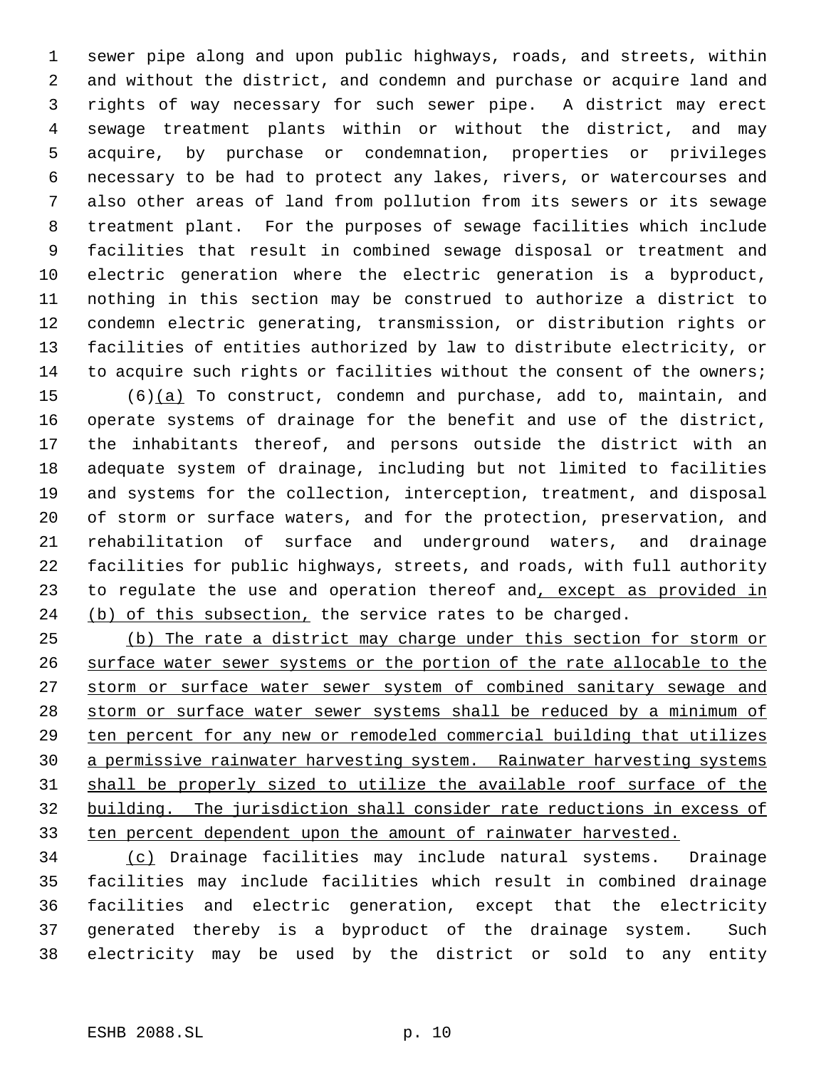sewer pipe along and upon public highways, roads, and streets, within and without the district, and condemn and purchase or acquire land and rights of way necessary for such sewer pipe. A district may erect sewage treatment plants within or without the district, and may acquire, by purchase or condemnation, properties or privileges necessary to be had to protect any lakes, rivers, or watercourses and also other areas of land from pollution from its sewers or its sewage treatment plant. For the purposes of sewage facilities which include facilities that result in combined sewage disposal or treatment and electric generation where the electric generation is a byproduct, nothing in this section may be construed to authorize a district to condemn electric generating, transmission, or distribution rights or facilities of entities authorized by law to distribute electricity, or to acquire such rights or facilities without the consent of the owners; (6)(a) To construct, condemn and purchase, add to, maintain, and

 operate systems of drainage for the benefit and use of the district, the inhabitants thereof, and persons outside the district with an adequate system of drainage, including but not limited to facilities and systems for the collection, interception, treatment, and disposal of storm or surface waters, and for the protection, preservation, and rehabilitation of surface and underground waters, and drainage facilities for public highways, streets, and roads, with full authority 23 to regulate the use and operation thereof and, except as provided in 24 (b) of this subsection, the service rates to be charged.

 (b) The rate a district may charge under this section for storm or surface water sewer systems or the portion of the rate allocable to the 27 storm or surface water sewer system of combined sanitary sewage and storm or surface water sewer systems shall be reduced by a minimum of ten percent for any new or remodeled commercial building that utilizes a permissive rainwater harvesting system. Rainwater harvesting systems shall be properly sized to utilize the available roof surface of the building. The jurisdiction shall consider rate reductions in excess of ten percent dependent upon the amount of rainwater harvested.

 (c) Drainage facilities may include natural systems. Drainage facilities may include facilities which result in combined drainage facilities and electric generation, except that the electricity generated thereby is a byproduct of the drainage system. Such electricity may be used by the district or sold to any entity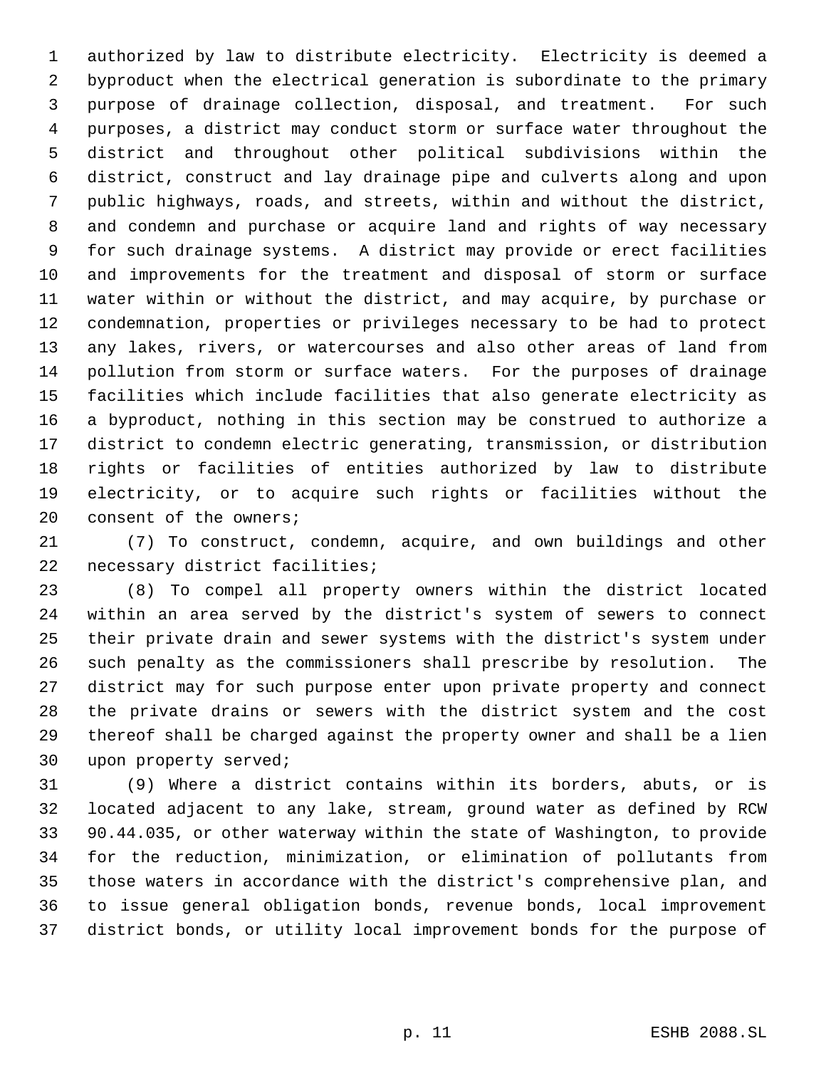authorized by law to distribute electricity. Electricity is deemed a byproduct when the electrical generation is subordinate to the primary purpose of drainage collection, disposal, and treatment. For such purposes, a district may conduct storm or surface water throughout the district and throughout other political subdivisions within the district, construct and lay drainage pipe and culverts along and upon public highways, roads, and streets, within and without the district, and condemn and purchase or acquire land and rights of way necessary for such drainage systems. A district may provide or erect facilities and improvements for the treatment and disposal of storm or surface water within or without the district, and may acquire, by purchase or condemnation, properties or privileges necessary to be had to protect any lakes, rivers, or watercourses and also other areas of land from pollution from storm or surface waters. For the purposes of drainage facilities which include facilities that also generate electricity as a byproduct, nothing in this section may be construed to authorize a district to condemn electric generating, transmission, or distribution rights or facilities of entities authorized by law to distribute electricity, or to acquire such rights or facilities without the consent of the owners;

 (7) To construct, condemn, acquire, and own buildings and other necessary district facilities;

 (8) To compel all property owners within the district located within an area served by the district's system of sewers to connect their private drain and sewer systems with the district's system under such penalty as the commissioners shall prescribe by resolution. The district may for such purpose enter upon private property and connect the private drains or sewers with the district system and the cost thereof shall be charged against the property owner and shall be a lien upon property served;

 (9) Where a district contains within its borders, abuts, or is located adjacent to any lake, stream, ground water as defined by RCW 90.44.035, or other waterway within the state of Washington, to provide for the reduction, minimization, or elimination of pollutants from those waters in accordance with the district's comprehensive plan, and to issue general obligation bonds, revenue bonds, local improvement district bonds, or utility local improvement bonds for the purpose of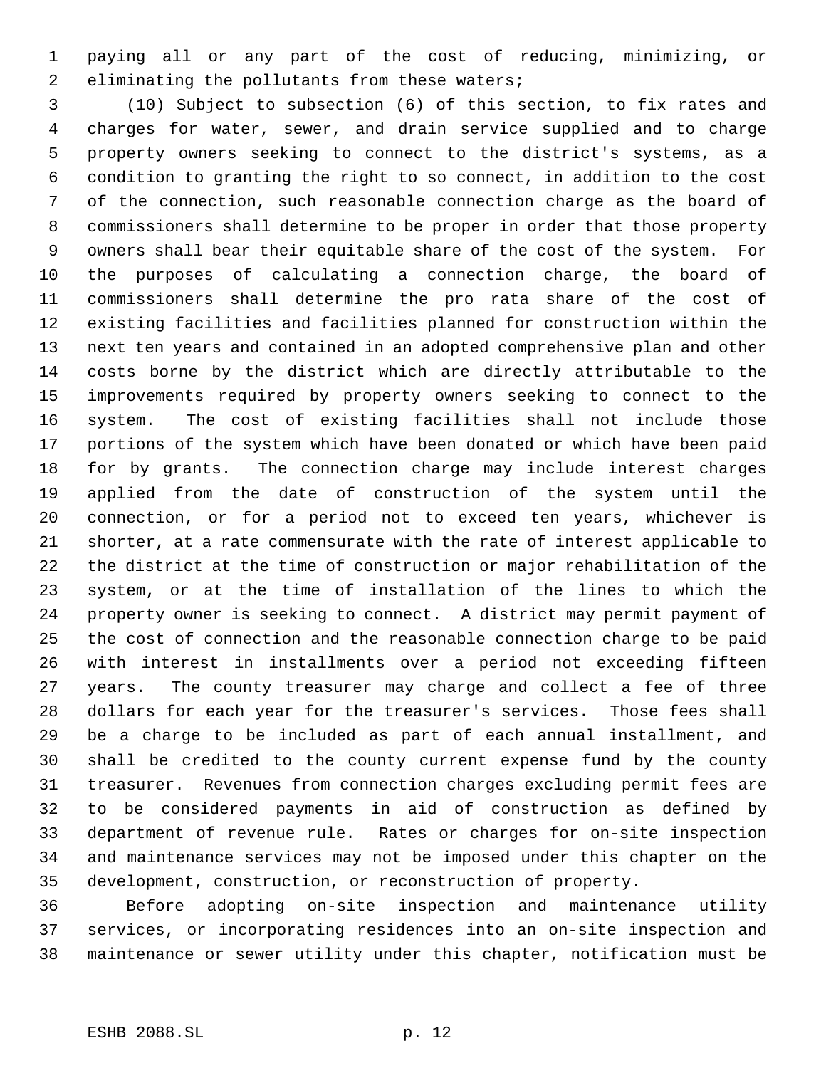paying all or any part of the cost of reducing, minimizing, or 2 eliminating the pollutants from these waters;

 (10) Subject to subsection (6) of this section, to fix rates and charges for water, sewer, and drain service supplied and to charge property owners seeking to connect to the district's systems, as a condition to granting the right to so connect, in addition to the cost of the connection, such reasonable connection charge as the board of commissioners shall determine to be proper in order that those property owners shall bear their equitable share of the cost of the system. For the purposes of calculating a connection charge, the board of commissioners shall determine the pro rata share of the cost of existing facilities and facilities planned for construction within the next ten years and contained in an adopted comprehensive plan and other costs borne by the district which are directly attributable to the improvements required by property owners seeking to connect to the system. The cost of existing facilities shall not include those portions of the system which have been donated or which have been paid for by grants. The connection charge may include interest charges applied from the date of construction of the system until the connection, or for a period not to exceed ten years, whichever is shorter, at a rate commensurate with the rate of interest applicable to the district at the time of construction or major rehabilitation of the system, or at the time of installation of the lines to which the property owner is seeking to connect. A district may permit payment of the cost of connection and the reasonable connection charge to be paid with interest in installments over a period not exceeding fifteen years. The county treasurer may charge and collect a fee of three dollars for each year for the treasurer's services. Those fees shall be a charge to be included as part of each annual installment, and shall be credited to the county current expense fund by the county treasurer. Revenues from connection charges excluding permit fees are to be considered payments in aid of construction as defined by department of revenue rule. Rates or charges for on-site inspection and maintenance services may not be imposed under this chapter on the development, construction, or reconstruction of property.

 Before adopting on-site inspection and maintenance utility services, or incorporating residences into an on-site inspection and maintenance or sewer utility under this chapter, notification must be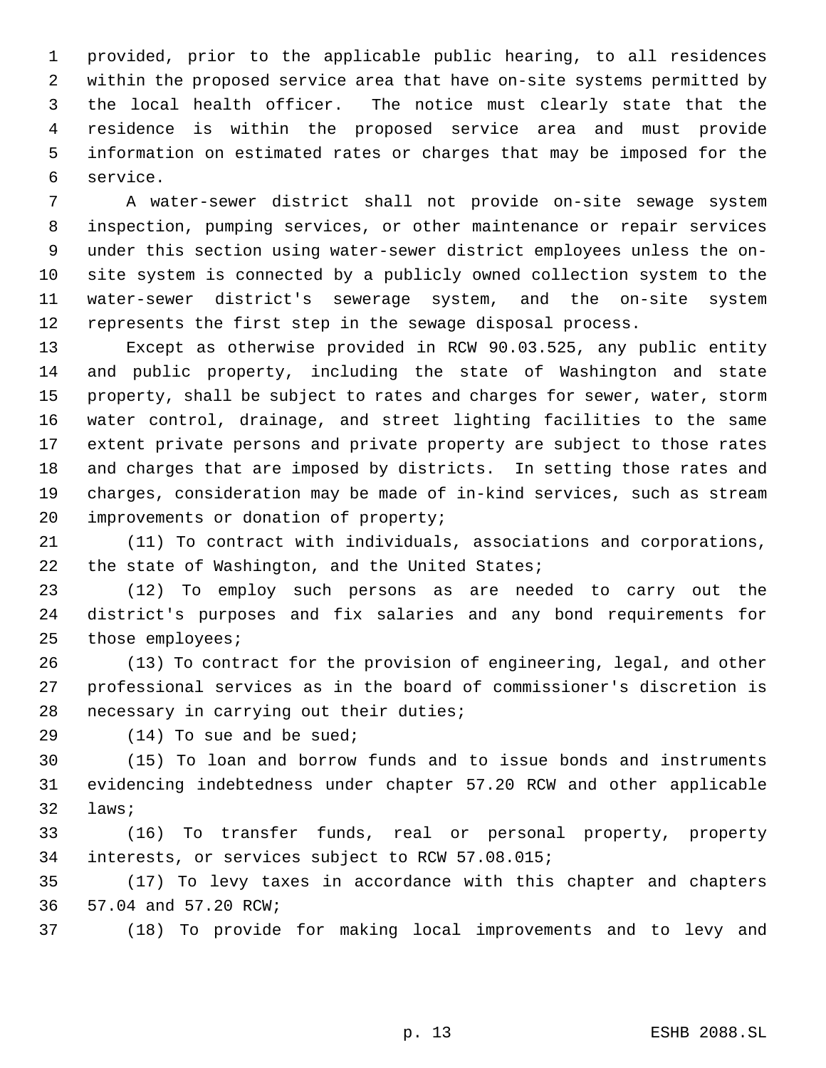provided, prior to the applicable public hearing, to all residences within the proposed service area that have on-site systems permitted by the local health officer. The notice must clearly state that the residence is within the proposed service area and must provide information on estimated rates or charges that may be imposed for the service.

 A water-sewer district shall not provide on-site sewage system inspection, pumping services, or other maintenance or repair services under this section using water-sewer district employees unless the on- site system is connected by a publicly owned collection system to the water-sewer district's sewerage system, and the on-site system represents the first step in the sewage disposal process.

 Except as otherwise provided in RCW 90.03.525, any public entity and public property, including the state of Washington and state property, shall be subject to rates and charges for sewer, water, storm water control, drainage, and street lighting facilities to the same extent private persons and private property are subject to those rates and charges that are imposed by districts. In setting those rates and charges, consideration may be made of in-kind services, such as stream improvements or donation of property;

 (11) To contract with individuals, associations and corporations, 22 the state of Washington, and the United States;

 (12) To employ such persons as are needed to carry out the district's purposes and fix salaries and any bond requirements for those employees;

 (13) To contract for the provision of engineering, legal, and other professional services as in the board of commissioner's discretion is necessary in carrying out their duties;

29 (14) To sue and be sued;

 (15) To loan and borrow funds and to issue bonds and instruments evidencing indebtedness under chapter 57.20 RCW and other applicable laws;

 (16) To transfer funds, real or personal property, property interests, or services subject to RCW 57.08.015;

 (17) To levy taxes in accordance with this chapter and chapters 57.04 and 57.20 RCW;

(18) To provide for making local improvements and to levy and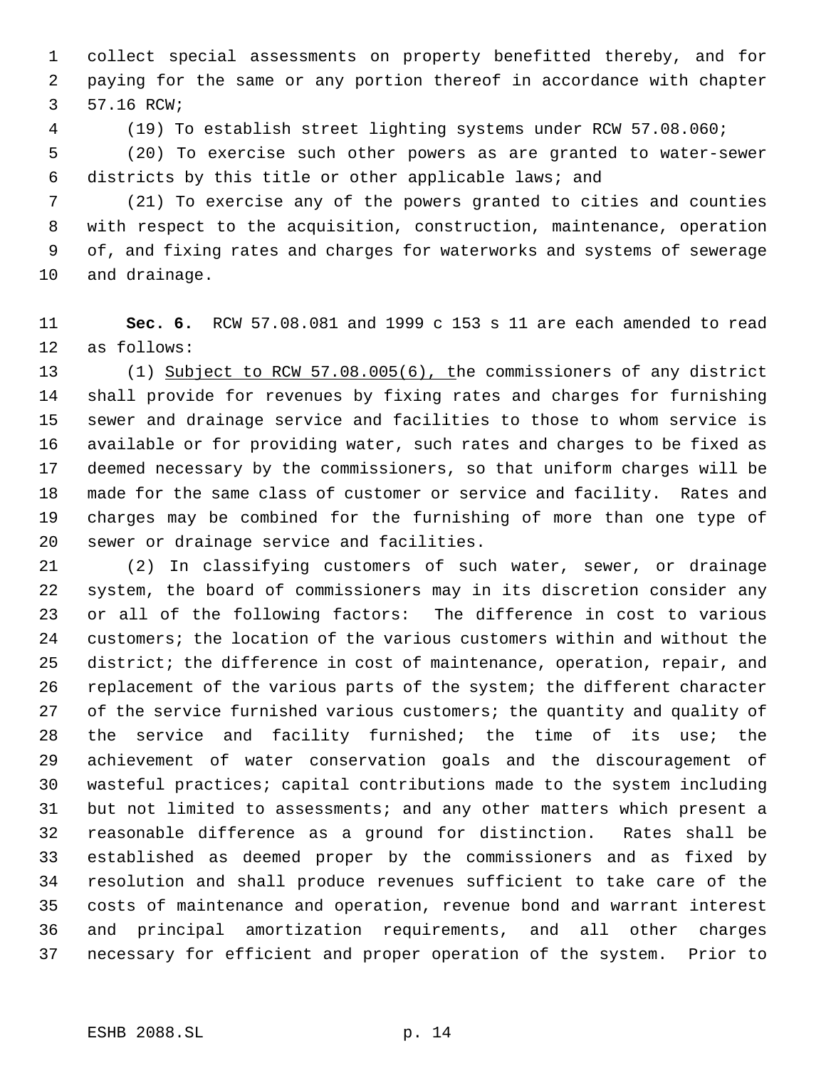collect special assessments on property benefitted thereby, and for paying for the same or any portion thereof in accordance with chapter 57.16 RCW;

(19) To establish street lighting systems under RCW 57.08.060;

 (20) To exercise such other powers as are granted to water-sewer districts by this title or other applicable laws; and

 (21) To exercise any of the powers granted to cities and counties with respect to the acquisition, construction, maintenance, operation of, and fixing rates and charges for waterworks and systems of sewerage and drainage.

 **Sec. 6.** RCW 57.08.081 and 1999 c 153 s 11 are each amended to read as follows:

 (1) Subject to RCW 57.08.005(6), the commissioners of any district shall provide for revenues by fixing rates and charges for furnishing sewer and drainage service and facilities to those to whom service is available or for providing water, such rates and charges to be fixed as deemed necessary by the commissioners, so that uniform charges will be made for the same class of customer or service and facility. Rates and charges may be combined for the furnishing of more than one type of sewer or drainage service and facilities.

 (2) In classifying customers of such water, sewer, or drainage system, the board of commissioners may in its discretion consider any or all of the following factors: The difference in cost to various customers; the location of the various customers within and without the district; the difference in cost of maintenance, operation, repair, and replacement of the various parts of the system; the different character 27 of the service furnished various customers; the quantity and quality of the service and facility furnished; the time of its use; the achievement of water conservation goals and the discouragement of wasteful practices; capital contributions made to the system including but not limited to assessments; and any other matters which present a reasonable difference as a ground for distinction. Rates shall be established as deemed proper by the commissioners and as fixed by resolution and shall produce revenues sufficient to take care of the costs of maintenance and operation, revenue bond and warrant interest and principal amortization requirements, and all other charges necessary for efficient and proper operation of the system. Prior to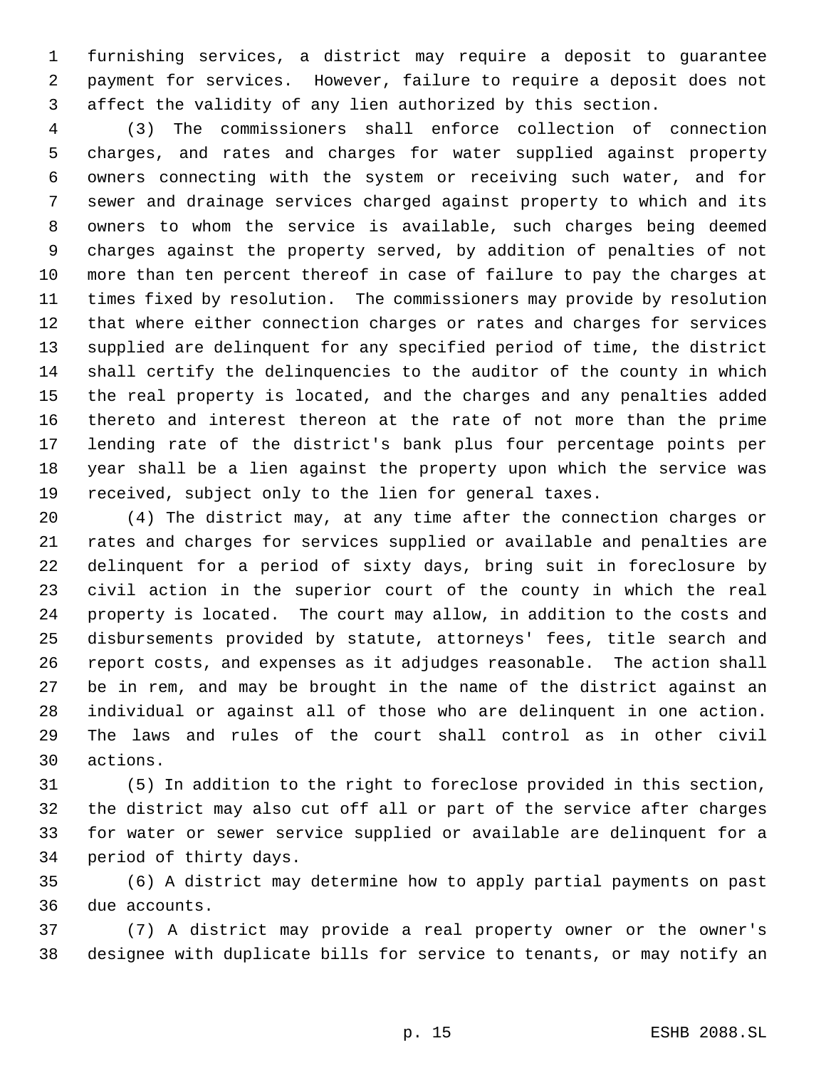furnishing services, a district may require a deposit to guarantee payment for services. However, failure to require a deposit does not affect the validity of any lien authorized by this section.

 (3) The commissioners shall enforce collection of connection charges, and rates and charges for water supplied against property owners connecting with the system or receiving such water, and for sewer and drainage services charged against property to which and its owners to whom the service is available, such charges being deemed charges against the property served, by addition of penalties of not more than ten percent thereof in case of failure to pay the charges at times fixed by resolution. The commissioners may provide by resolution that where either connection charges or rates and charges for services supplied are delinquent for any specified period of time, the district shall certify the delinquencies to the auditor of the county in which the real property is located, and the charges and any penalties added thereto and interest thereon at the rate of not more than the prime lending rate of the district's bank plus four percentage points per year shall be a lien against the property upon which the service was received, subject only to the lien for general taxes.

 (4) The district may, at any time after the connection charges or rates and charges for services supplied or available and penalties are delinquent for a period of sixty days, bring suit in foreclosure by civil action in the superior court of the county in which the real property is located. The court may allow, in addition to the costs and disbursements provided by statute, attorneys' fees, title search and report costs, and expenses as it adjudges reasonable. The action shall be in rem, and may be brought in the name of the district against an individual or against all of those who are delinquent in one action. The laws and rules of the court shall control as in other civil actions.

 (5) In addition to the right to foreclose provided in this section, the district may also cut off all or part of the service after charges for water or sewer service supplied or available are delinquent for a period of thirty days.

 (6) A district may determine how to apply partial payments on past due accounts.

 (7) A district may provide a real property owner or the owner's designee with duplicate bills for service to tenants, or may notify an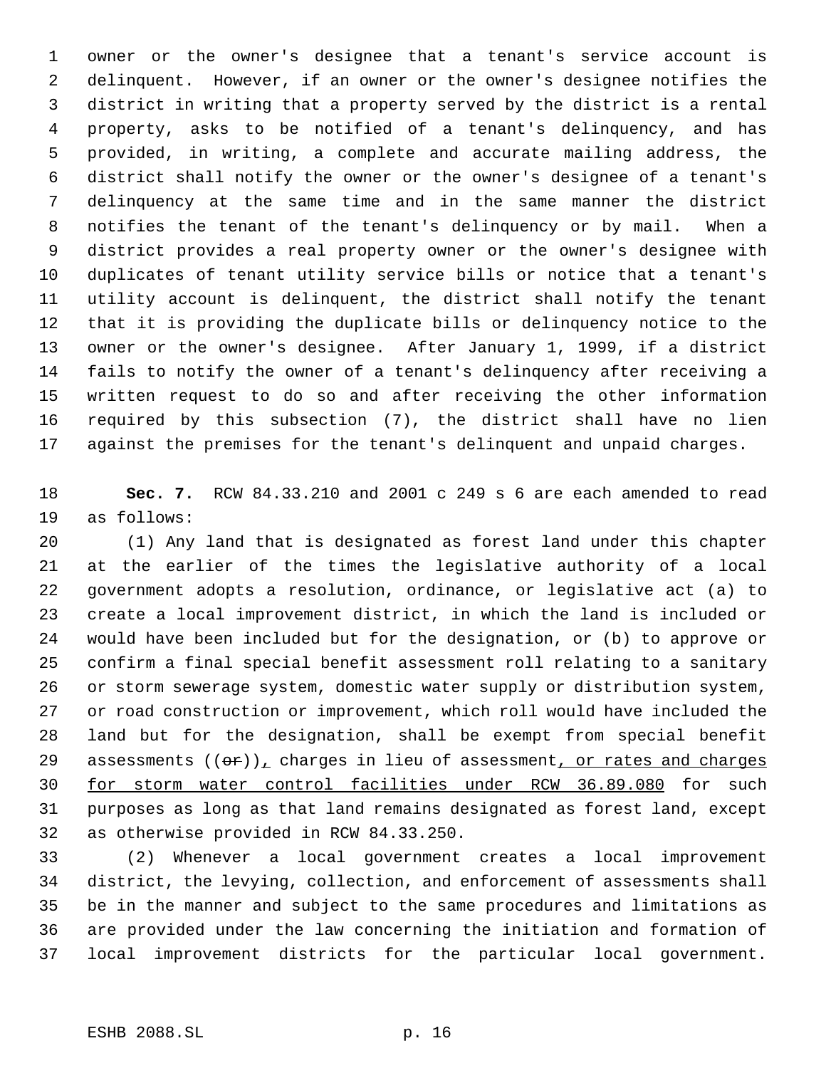owner or the owner's designee that a tenant's service account is delinquent. However, if an owner or the owner's designee notifies the district in writing that a property served by the district is a rental property, asks to be notified of a tenant's delinquency, and has provided, in writing, a complete and accurate mailing address, the district shall notify the owner or the owner's designee of a tenant's delinquency at the same time and in the same manner the district notifies the tenant of the tenant's delinquency or by mail. When a district provides a real property owner or the owner's designee with duplicates of tenant utility service bills or notice that a tenant's utility account is delinquent, the district shall notify the tenant that it is providing the duplicate bills or delinquency notice to the owner or the owner's designee. After January 1, 1999, if a district fails to notify the owner of a tenant's delinquency after receiving a written request to do so and after receiving the other information required by this subsection (7), the district shall have no lien against the premises for the tenant's delinquent and unpaid charges.

 **Sec. 7.** RCW 84.33.210 and 2001 c 249 s 6 are each amended to read as follows:

 (1) Any land that is designated as forest land under this chapter at the earlier of the times the legislative authority of a local government adopts a resolution, ordinance, or legislative act (a) to create a local improvement district, in which the land is included or would have been included but for the designation, or (b) to approve or confirm a final special benefit assessment roll relating to a sanitary or storm sewerage system, domestic water supply or distribution system, or road construction or improvement, which roll would have included the land but for the designation, shall be exempt from special benefit 29 assessments  $((\theta \cdot \mathbf{r}))_L$  charges in lieu of assessment, or rates and charges for storm water control facilities under RCW 36.89.080 for such purposes as long as that land remains designated as forest land, except as otherwise provided in RCW 84.33.250.

 (2) Whenever a local government creates a local improvement district, the levying, collection, and enforcement of assessments shall be in the manner and subject to the same procedures and limitations as are provided under the law concerning the initiation and formation of local improvement districts for the particular local government.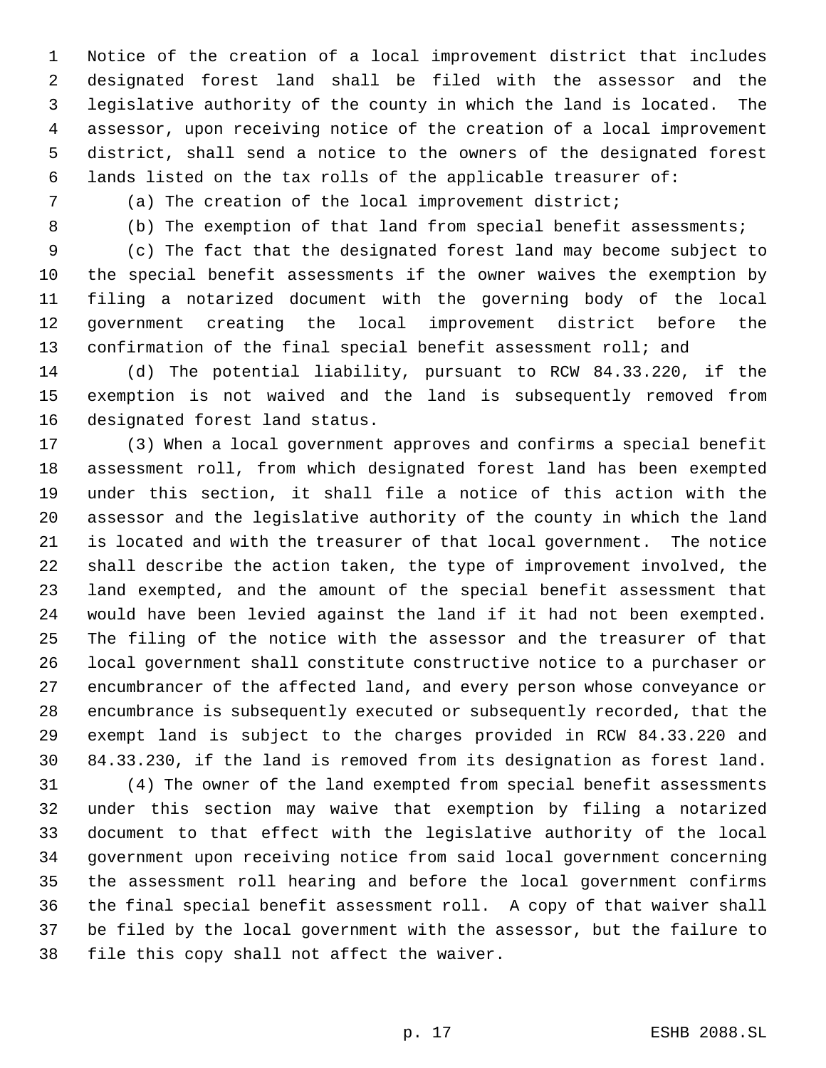Notice of the creation of a local improvement district that includes designated forest land shall be filed with the assessor and the legislative authority of the county in which the land is located. The assessor, upon receiving notice of the creation of a local improvement district, shall send a notice to the owners of the designated forest lands listed on the tax rolls of the applicable treasurer of:

(a) The creation of the local improvement district;

8 (b) The exemption of that land from special benefit assessments;

 (c) The fact that the designated forest land may become subject to the special benefit assessments if the owner waives the exemption by filing a notarized document with the governing body of the local government creating the local improvement district before the confirmation of the final special benefit assessment roll; and

 (d) The potential liability, pursuant to RCW 84.33.220, if the exemption is not waived and the land is subsequently removed from designated forest land status.

 (3) When a local government approves and confirms a special benefit assessment roll, from which designated forest land has been exempted under this section, it shall file a notice of this action with the assessor and the legislative authority of the county in which the land is located and with the treasurer of that local government. The notice shall describe the action taken, the type of improvement involved, the land exempted, and the amount of the special benefit assessment that would have been levied against the land if it had not been exempted. The filing of the notice with the assessor and the treasurer of that local government shall constitute constructive notice to a purchaser or encumbrancer of the affected land, and every person whose conveyance or encumbrance is subsequently executed or subsequently recorded, that the exempt land is subject to the charges provided in RCW 84.33.220 and 84.33.230, if the land is removed from its designation as forest land.

 (4) The owner of the land exempted from special benefit assessments under this section may waive that exemption by filing a notarized document to that effect with the legislative authority of the local government upon receiving notice from said local government concerning the assessment roll hearing and before the local government confirms the final special benefit assessment roll. A copy of that waiver shall be filed by the local government with the assessor, but the failure to file this copy shall not affect the waiver.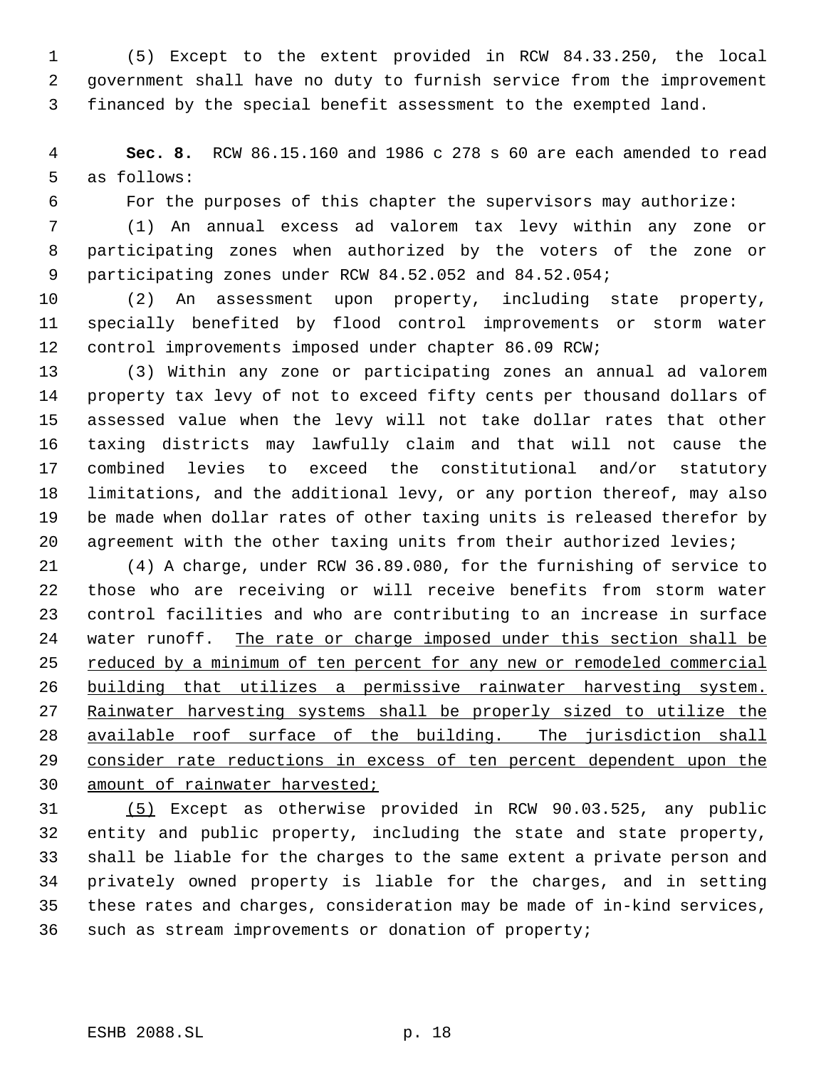(5) Except to the extent provided in RCW 84.33.250, the local government shall have no duty to furnish service from the improvement financed by the special benefit assessment to the exempted land.

 **Sec. 8.** RCW 86.15.160 and 1986 c 278 s 60 are each amended to read as follows:

For the purposes of this chapter the supervisors may authorize:

 (1) An annual excess ad valorem tax levy within any zone or participating zones when authorized by the voters of the zone or participating zones under RCW 84.52.052 and 84.52.054;

 (2) An assessment upon property, including state property, specially benefited by flood control improvements or storm water control improvements imposed under chapter 86.09 RCW;

 (3) Within any zone or participating zones an annual ad valorem property tax levy of not to exceed fifty cents per thousand dollars of assessed value when the levy will not take dollar rates that other taxing districts may lawfully claim and that will not cause the combined levies to exceed the constitutional and/or statutory limitations, and the additional levy, or any portion thereof, may also be made when dollar rates of other taxing units is released therefor by agreement with the other taxing units from their authorized levies;

 (4) A charge, under RCW 36.89.080, for the furnishing of service to those who are receiving or will receive benefits from storm water control facilities and who are contributing to an increase in surface water runoff. The rate or charge imposed under this section shall be 25 reduced by a minimum of ten percent for any new or remodeled commercial building that utilizes a permissive rainwater harvesting system. Rainwater harvesting systems shall be properly sized to utilize the available roof surface of the building. The jurisdiction shall consider rate reductions in excess of ten percent dependent upon the 30 amount of rainwater harvested;

 (5) Except as otherwise provided in RCW 90.03.525, any public entity and public property, including the state and state property, shall be liable for the charges to the same extent a private person and privately owned property is liable for the charges, and in setting these rates and charges, consideration may be made of in-kind services, such as stream improvements or donation of property;